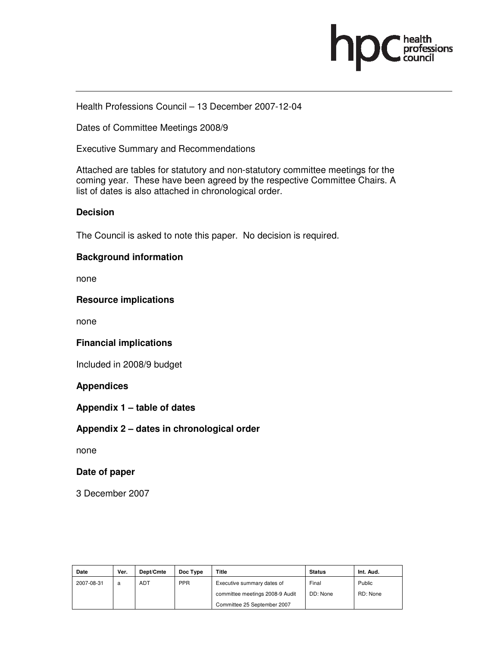

Health Professions Council – 13 December 2007-12-04

Dates of Committee Meetings 2008/9

Executive Summary and Recommendations

Attached are tables for statutory and non-statutory committee meetings for the coming year. These have been agreed by the respective Committee Chairs. A list of dates is also attached in chronological order.

#### **Decision**

The Council is asked to note this paper. No decision is required.

#### **Background information**

none

#### **Resource implications**

none

## **Financial implications**

Included in 2008/9 budget

## **Appendices**

**Appendix 1 – table of dates** 

## **Appendix 2 – dates in chronological order**

none

#### **Date of paper**

3 December 2007

| Date       | Ver. | Dept/Cmte  | Doc Type   | Title                           | <b>Status</b> | Int. Aud. |
|------------|------|------------|------------|---------------------------------|---------------|-----------|
| 2007-08-31 | a    | <b>ADT</b> | <b>PPR</b> | Executive summary dates of      | Final         | Public    |
|            |      |            |            | committee meetings 2008-9 Audit | DD: None      | RD: None  |
|            |      |            |            | Committee 25 September 2007     |               |           |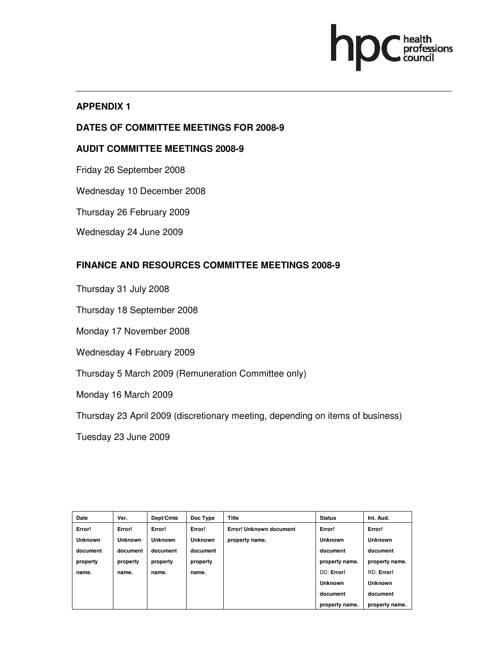# Thealth<br>professions<br>council

# **APPENDIX 1**

# **DATES OF COMMITTEE MEETINGS FOR 2008-9**

# **AUDIT COMMITTEE MEETINGS 2008-9**

- Friday 26 September 2008
- Wednesday 10 December 2008
- Thursday 26 February 2009
- Wednesday 24 June 2009

# **FINANCE AND RESOURCES COMMITTEE MEETINGS 2008-9**

- Thursday 31 July 2008
- Thursday 18 September 2008
- Monday 17 November 2008
- Wednesday 4 February 2009
- Thursday 5 March 2009 (Remuneration Committee only)
- Monday 16 March 2009
- Thursday 23 April 2009 (discretionary meeting, depending on items of business)
- Tuesday 23 June 2009

| Date           | Ver.     | Dept/Cmte      | Doc Type       | <b>Title</b>            | <b>Status</b>  | Int. Aud.      |
|----------------|----------|----------------|----------------|-------------------------|----------------|----------------|
| Error!         | Error!   | Error!         | Error!         | Error! Unknown document | Error!         | Error!         |
| <b>Unknown</b> | Unknown  | <b>Unknown</b> | <b>Unknown</b> | property name.          | <b>Unknown</b> | <b>Unknown</b> |
| document       | document | document       | document       |                         | document       | document       |
| property       | property | property       | property       |                         | property name. | property name. |
| name.          | name.    | name.          | name.          |                         | DD: Error!     | RD: Error!     |
|                |          |                |                |                         | <b>Unknown</b> | <b>Unknown</b> |
|                |          |                |                |                         | document       | document       |
|                |          |                |                |                         | property name. | property name. |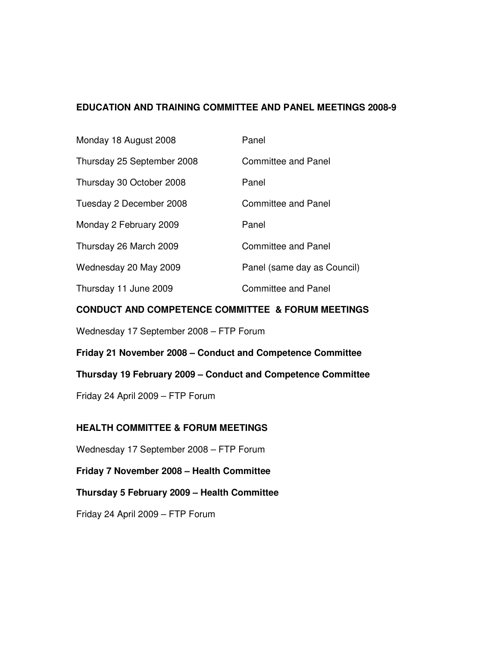## **EDUCATION AND TRAINING COMMITTEE AND PANEL MEETINGS 2008-9**

| Monday 18 August 2008      | Panel                       |
|----------------------------|-----------------------------|
| Thursday 25 September 2008 | <b>Committee and Panel</b>  |
| Thursday 30 October 2008   | Panel                       |
| Tuesday 2 December 2008    | <b>Committee and Panel</b>  |
| Monday 2 February 2009     | Panel                       |
| Thursday 26 March 2009     | <b>Committee and Panel</b>  |
| Wednesday 20 May 2009      | Panel (same day as Council) |
| Thursday 11 June 2009      | Committee and Panel         |

#### **CONDUCT AND COMPETENCE COMMITTEE & FORUM MEETINGS**

Wednesday 17 September 2008 – FTP Forum

**Friday 21 November 2008 – Conduct and Competence Committee** 

**Thursday 19 February 2009 – Conduct and Competence Committee** 

Friday 24 April 2009 – FTP Forum

## **HEALTH COMMITTEE & FORUM MEETINGS**

Wednesday 17 September 2008 – FTP Forum

**Friday 7 November 2008 – Health Committee** 

**Thursday 5 February 2009 – Health Committee** 

Friday 24 April 2009 – FTP Forum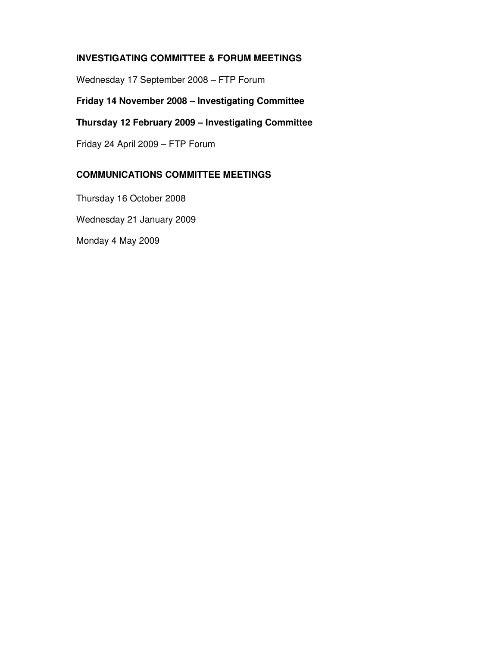# **INVESTIGATING COMMITTEE & FORUM MEETINGS**

Wednesday 17 September 2008 – FTP Forum

# **Friday 14 November 2008 – Investigating Committee**

# **Thursday 12 February 2009 – Investigating Committee**

Friday 24 April 2009 – FTP Forum

# **COMMUNICATIONS COMMITTEE MEETINGS**

Thursday 16 October 2008 Wednesday 21 January 2009 Monday 4 May 2009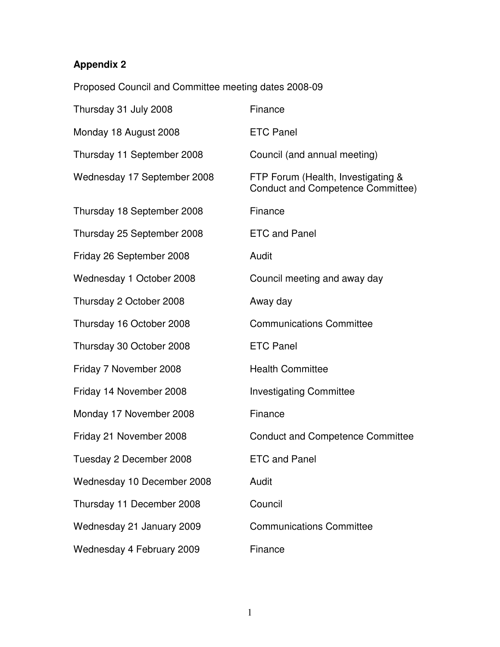# **Appendix 2**

Proposed Council and Committee meeting dates 2008-09

| Thursday 31 July 2008       | Finance                                                                 |
|-----------------------------|-------------------------------------------------------------------------|
| Monday 18 August 2008       | <b>ETC Panel</b>                                                        |
| Thursday 11 September 2008  | Council (and annual meeting)                                            |
| Wednesday 17 September 2008 | FTP Forum (Health, Investigating &<br>Conduct and Competence Committee) |
| Thursday 18 September 2008  | Finance                                                                 |
| Thursday 25 September 2008  | <b>ETC and Panel</b>                                                    |
| Friday 26 September 2008    | Audit                                                                   |
| Wednesday 1 October 2008    | Council meeting and away day                                            |
| Thursday 2 October 2008     | Away day                                                                |
| Thursday 16 October 2008    | <b>Communications Committee</b>                                         |
| Thursday 30 October 2008    | <b>ETC Panel</b>                                                        |
| Friday 7 November 2008      | <b>Health Committee</b>                                                 |
| Friday 14 November 2008     | <b>Investigating Committee</b>                                          |
| Monday 17 November 2008     | Finance                                                                 |
| Friday 21 November 2008     | <b>Conduct and Competence Committee</b>                                 |
| Tuesday 2 December 2008     | <b>ETC and Panel</b>                                                    |
| Wednesday 10 December 2008  | Audit                                                                   |
| Thursday 11 December 2008   | Council                                                                 |
| Wednesday 21 January 2009   | <b>Communications Committee</b>                                         |
| Wednesday 4 February 2009   | Finance                                                                 |